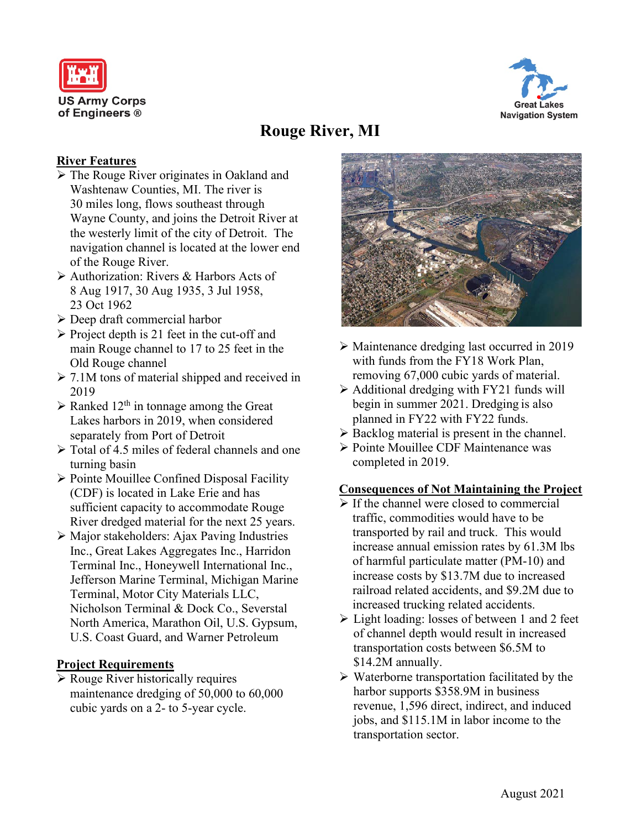



# **Rouge River, MI**

# **River Features**

- The Rouge River originates in Oakland and Washtenaw Counties, MI. The river is 30 miles long, flows southeast through Wayne County, and joins the Detroit River at the westerly limit of the city of Detroit. The navigation channel is located at the lower end of the Rouge River.
- Authorization: Rivers & Harbors Acts of 8 Aug 1917, 30 Aug 1935, 3 Jul 1958, 23 Oct 1962
- Deep draft commercial harbor
- $\triangleright$  Project depth is 21 feet in the cut-off and main Rouge channel to 17 to 25 feet in the Old Rouge channel
- $\geq 7.1M$  tons of material shipped and received in 2019
- $\triangleright$  Ranked 12<sup>th</sup> in tonnage among the Great Lakes harbors in 2019, when considered separately from Port of Detroit
- Total of 4.5 miles of federal channels and one turning basin
- $\triangleright$  Pointe Mouillee Confined Disposal Facility (CDF) is located in Lake Erie and has sufficient capacity to accommodate Rouge River dredged material for the next 25 years.
- Major stakeholders: Ajax Paving Industries Inc., Great Lakes Aggregates Inc., Harridon Terminal Inc., Honeywell International Inc., Jefferson Marine Terminal, Michigan Marine Terminal, Motor City Materials LLC, Nicholson Terminal & Dock Co., Severstal North America, Marathon Oil, U.S. Gypsum, U.S. Coast Guard, and Warner Petroleum

### **Project Requirements**

 $\triangleright$  Rouge River historically requires maintenance dredging of 50,000 to 60,000 cubic yards on a 2- to 5-year cycle.



- Maintenance dredging last occurred in 2019 with funds from the FY18 Work Plan, removing 67,000 cubic yards of material.
- $\triangleright$  Additional dredging with FY21 funds will begin in summer 2021. Dredging is also planned in FY22 with FY22 funds.
- $\triangleright$  Backlog material is present in the channel.
- ▶ Pointe Mouillee CDF Maintenance was completed in 2019.

### **Consequences of Not Maintaining the Project**

- $\triangleright$  If the channel were closed to commercial traffic, commodities would have to be transported by rail and truck. This would increase annual emission rates by 61.3M lbs of harmful particulate matter (PM-10) and increase costs by \$13.7M due to increased railroad related accidents, and \$9.2M due to increased trucking related accidents.
- Light loading: losses of between 1 and 2 feet of channel depth would result in increased transportation costs between \$6.5M to \$14.2M annually.
- $\triangleright$  Waterborne transportation facilitated by the harbor supports \$358.9M in business revenue, 1,596 direct, indirect, and induced jobs, and \$115.1M in labor income to the transportation sector.